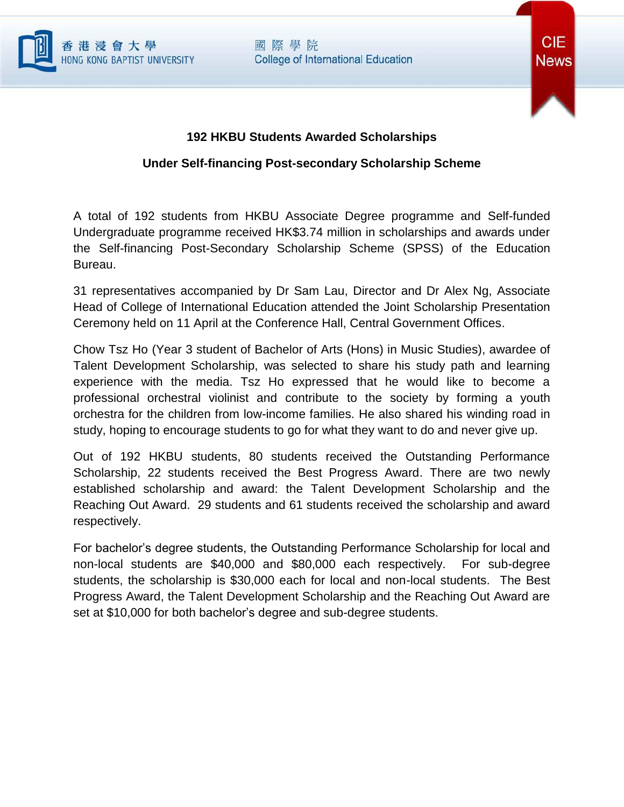

## 國際學院 **College of International Education**



## **192 HKBU Students Awarded Scholarships**

## **Under Self-financing Post-secondary Scholarship Scheme**

A total of 192 students from HKBU Associate Degree programme and Self-funded Undergraduate programme received HK\$3.74 million in scholarships and awards under the Self-financing Post-Secondary Scholarship Scheme (SPSS) of the Education Bureau.

31 representatives accompanied by Dr Sam Lau, Director and Dr Alex Ng, Associate Head of College of International Education attended the Joint Scholarship Presentation Ceremony held on 11 April at the Conference Hall, Central Government Offices.

Chow Tsz Ho (Year 3 student of Bachelor of Arts (Hons) in Music Studies), awardee of Talent Development Scholarship, was selected to share his study path and learning experience with the media. Tsz Ho expressed that he would like to become a professional orchestral violinist and contribute to the society by forming a youth orchestra for the children from low-income families. He also shared his winding road in study, hoping to encourage students to go for what they want to do and never give up.

Out of 192 HKBU students, 80 students received the Outstanding Performance Scholarship, 22 students received the Best Progress Award. There are two newly established scholarship and award: the Talent Development Scholarship and the Reaching Out Award. 29 students and 61 students received the scholarship and award respectively.

For bachelor's degree students, the Outstanding Performance Scholarship for local and non-local students are \$40,000 and \$80,000 each respectively. For sub-degree students, the scholarship is \$30,000 each for local and non-local students. The Best Progress Award, the Talent Development Scholarship and the Reaching Out Award are set at \$10,000 for both bachelor's degree and sub-degree students.